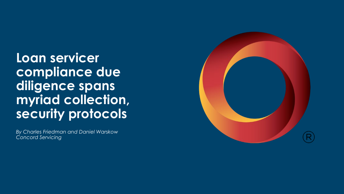**Loan servicer compliance due diligence spans myriad collection, security protocols**

*By Charles Friedman and Daniel Warskow Concord Servicing*

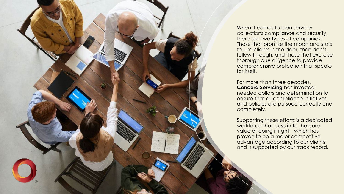

When it comes to loan servicer collections compliance and security, there are two types of companies: Those that promise the moon and stars to lure clients in the door, then don't follow through; and those that exercise thorough due diligence to provide comprehensive protection that speaks for itself.

For more than three decades, **Concord Servicing** has invested needed dollars and determination to ensure that all compliance initiatives and policies are pursued correctly and completely.

Supporting these efforts is a dedicated workforce that buys in to the core value of doing it right—which has proven to be a major competitive advantage according to our clients and is supported by our track record.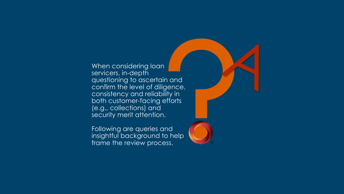When considering loan servicers, in-depth questioning to ascertain and confirm the level of diligence, consistency and reliability in both customer-facing efforts (e.g., collections) and security merit attention.

Following are queries and insightful background to help frame the review process.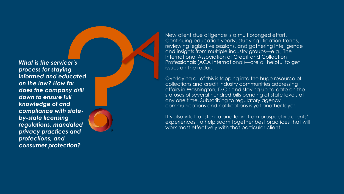*What is the servicer's process for staying informed and educated on the law? How far does the company drill down to ensure full knowledge of and compliance with state by -state licensing regulations, mandated privacy practices and protections, and consumer protection?*



New client due diligence is a multipronged effort. Continuing education yearly, studying litigation trends, reviewing legislative sessions, and gathering intelligence and insights from multiple industry groups —e.g., The International Association of Credit and Collection Professionals (ACA International) —are all helpful to get issues on the radar.

Overlaying all of this is tapping into the huge resource of collections and credit industry communities addressing affairs in Washington, D.C.; and staying up -to -date on the statuses of several hundred bills pending at state levels at any one time. Subscribing to regulatory agency communications and notifications is yet another layer.

It's also vital to listen to and learn from prospective clients' experiences, to help seam together best practices that will work most effectively with that particular client.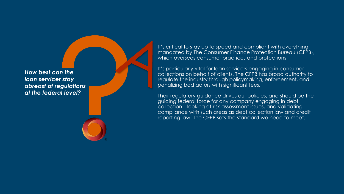*How best can the loan servicer stay abreast of regulations at the federal level?*

It's critical to stay up to speed and compliant with everything mandated by The Consumer Finance Protection Bureau (CFPB), which oversees consumer practices and protections.

It's particularly vital for loan servicers engaging in consumer collections on behalf of clients. The CFPB has broad authority to regulate the industry through policymaking, enforcement, and penalizing bad actors with significant fees.

Their regulatory guidance drives our policies, and should be the guiding federal force for any company engaging in debt collection —looking at risk assessment issues, and validating compliance with such areas as debt collection law and credit reporting law. The CFPB sets the standard we need to meet.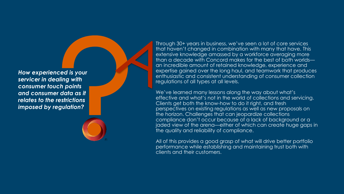*How experienced is your servicer in dealing with consumer touch points and consumer data as it relates to the restrictions imposed by regulation?*

Through 30+ years in business, we've seen a lot of core services that haven't changed in combination with many that have. This extensive knowledge amassed by a workforce averaging more than a decade with Concord makes for the best of both worlds an incredible amount of retained knowledge, experience and expertise gained over the long haul, and teamwork that produces enthusiastic and consistent understanding of consumer collection regulations of all types at all levels.

We've learned many lessons along the way about what's effective and what's not in the world of collections and servicing. Clients get both the know -how to do it right, and fresh perspectives on existing regulations as well as new proposals on the horizon. Challenges that can jeopardize collections compliance don't occur because of a lack of background or a jaded view of the arena —either of which can create huge gaps in the quality and reliability of compliance.

All of this provides a good grasp of what will drive better portfolio performance while establishing and maintaining trust both with clients and their customers.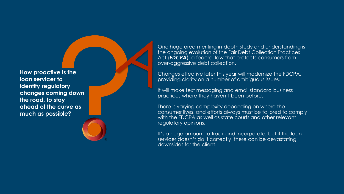**How proactive is the loan servicer to identify regulatory changes coming down the road, to stay ahead of the curve as much as possible?**

One huge area meriting in -depth study and understanding is the ongoing evolution of the Fair Debt Collection Practices Act (*FDCPA*), a federal law that protects consumers from over -aggressive debt collection.

Changes effective later this year will modernize the FDCPA, providing clarity on a number of ambiguous issues.

It will make text messaging and email standard business practices where they haven't been before.

There is varying complexity depending on where the consumer lives, and efforts always must be tailored to comply with the FDCPA as well as state courts and other relevant regulatory opinions.

It's a huge amount to track and incorporate, but if the loan servicer doesn't do it correctly, there can be devastating downsides for the client.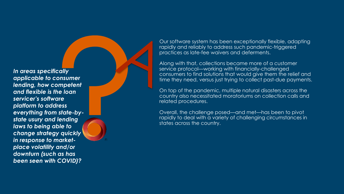*In areas specifically applicable to consumer lending, how competent and flexible is the loan servicer's software platform to address everything from state -by state usury and lending laws to being able to change strategy quickly in response to market place volatility and/or downturn (such as has been seen with COVID)?*

Our software system has been exceptionally flexible, adapting rapidly and reliably to address such pandemic -triggered practices as late -fee waivers and deferments.

Along with that, collections became more of a customer service protocol —working with financially -challenged consumers to find solutions that would give them the relief and time they need, versus just trying to collect past -due payments.

On top of the pandemic, multiple natural disasters across the country also necessitated moratoriums on collection calls and related procedures.

Overall, the challenge posed —and met —has been to pivot rapidly to deal with a variety of challenging circumstances in states across the country.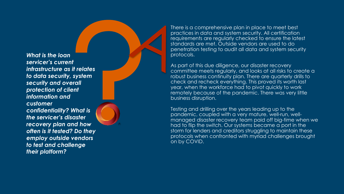*What is the loan servicer's current infrastructure as it relates to data security, system security and overall protection of client information and customer confidentiality? What is the servicer's disaster recovery plan and how often is it tested? Do they employ outside vendors to test and challenge their platform?*

There is a comprehensive plan in place to meet best practices in data and system security. All certification requirements are regularly checked to ensure the latest standards are met. Outside vendors are used to do penetration testing to audit all data and system security protocols.

As part of this due diligence, our disaster recovery committee meets regularly, and looks at all risks to create a robust business continuity plan. There are quarterly drills to check and recheck everything. This proved its worth last year, when the workforce had to pivot quickly to work remotely because of the pandemic. There was very little business disruption.

Testing and drilling over the years leading up to the pandemic, coupled with a very mature, well -run, well managed disaster recovery team paid off big -time when we had to flip the switch. Our systems became a port in the storm for lenders and creditors struggling to maintain these protocols when confronted with myriad challenges brought on by COVID.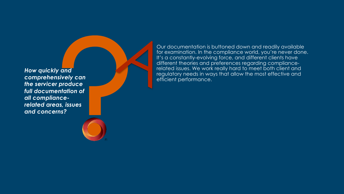*How quickly and comprehensively can the servicer produce full documentation of all compliance related areas, issues and concerns?*

Our documentation is buttoned down and readily available for examination. In the compliance world, you're never done. It's a constantly -evolving force, and different clients have different theories and preferences regarding compliance related issues. We work really hard to meet both client and regulatory needs in ways that allow the most effective and efficient performance.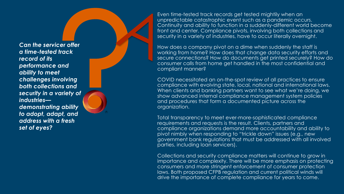*Can the servicer offer a time -tested track record of its performance and ability to meet challenges involving both collections and security in a variety of industries demonstrating ability to adopt, adapt, and address with a fresh set of eyes?*

Even time -tested track records get tested mightily when an unpredictable catastrophic event such as a pandemic occurs. Continuity and ability to function in a suddenly -different world become front and center. Compliance pivots, involving both collections and security in a variety of industries, have to occur literally overnight.

How does a company pivot on a dime when suddenly the staff is working from home? How does that change data security efforts and secure connections? How do documents get printed securely? How do consumer calls from home get handled in the most confidential and compliant manner?

COVID necessitated an on -the -spot review of all practices to ensure compliance with evolving state, local, national and international laws. When clients and banking partners want to see what we're doing, we show advanced internal compliance management system policies and procedures that form a documented picture across the organization.

Total transparency to meet ever -more -sophisticated compliance requirements and requests is the result. Clients, partners and compliance organizations demand more accountability and ability to pivot nimbly when responding to "trickle down" issues (e.g., new government bank regulations that must be addressed with all involved parties, including loan servicers).

Collections and security compliance matters will continue to grow in importance and complexity. There will be more emphasis on protecting consumers and more stringent enforcement of consumer protection laws. Both proposed CFPB regulation and current political winds will drive the importance of complete compliance for years to come.